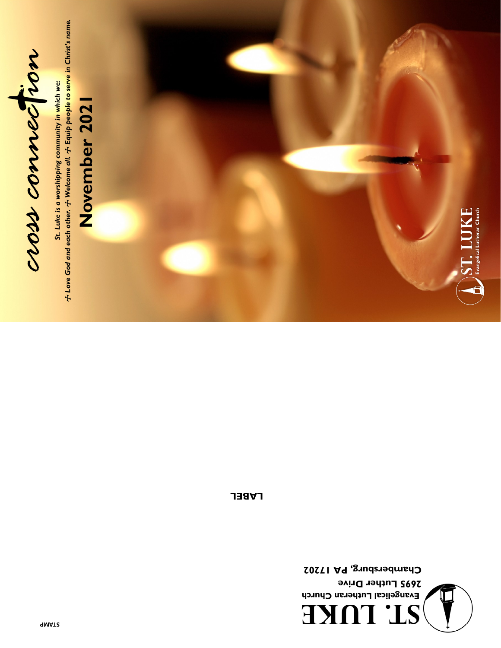

St. Luke is a worshipping community in which we:<br> $\pm$  Love God and each other.  $\pm$  Welcome all.  $\pm$  Equip people to serve in Christ's name. T *Love God and each other.* T *Welcome all.* T *Equip people to serve in Christ's name.St. Luke is a worshipping community in which we:* 

# November 2021 **November 2021**



 $\sum$   $\sum$   $\prod$   $\prod$   $\bigcup$   $\bigcap$   $\bigcup$   $\bigcup$   $\bigcup$   $\bigcup$   $\bigcup$   $\bigcup$  Evangelical Lutheran Church

**LABEL**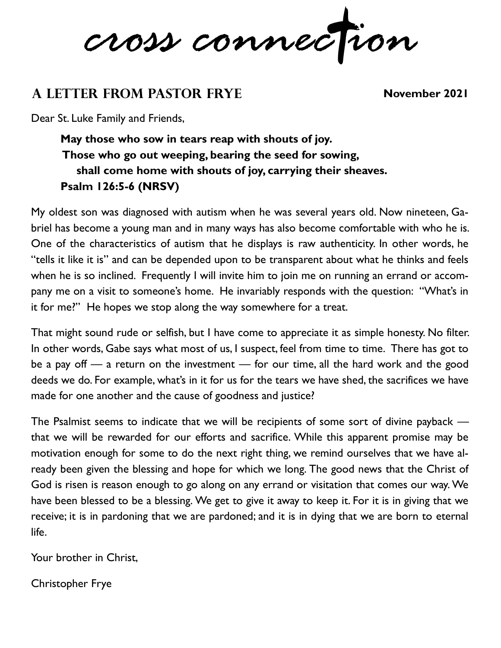*cross connec ion*

# **A Letter from Pastor Frye November 2021**

Dear St. Luke Family and Friends,

**May those who sow in tears reap with shouts of joy. Those who go out weeping, bearing the seed for sowing, shall come home with shouts of joy, carrying their sheaves. Psalm 126:5-6 (NRSV)**

My oldest son was diagnosed with autism when he was several years old. Now nineteen, Gabriel has become a young man and in many ways has also become comfortable with who he is. One of the characteristics of autism that he displays is raw authenticity. In other words, he "tells it like it is" and can be depended upon to be transparent about what he thinks and feels when he is so inclined. Frequently I will invite him to join me on running an errand or accompany me on a visit to someone's home. He invariably responds with the question: "What's in it for me?" He hopes we stop along the way somewhere for a treat.

That might sound rude or selfish, but I have come to appreciate it as simple honesty. No filter. In other words, Gabe says what most of us, I suspect, feel from time to time. There has got to be a pay off — a return on the investment — for our time, all the hard work and the good deeds we do. For example, what's in it for us for the tears we have shed, the sacrifices we have made for one another and the cause of goodness and justice?

The Psalmist seems to indicate that we will be recipients of some sort of divine payback that we will be rewarded for our efforts and sacrifice. While this apparent promise may be motivation enough for some to do the next right thing, we remind ourselves that we have already been given the blessing and hope for which we long. The good news that the Christ of God is risen is reason enough to go along on any errand or visitation that comes our way. We have been blessed to be a blessing. We get to give it away to keep it. For it is in giving that we receive; it is in pardoning that we are pardoned; and it is in dying that we are born to eternal life.

Your brother in Christ,

Christopher Frye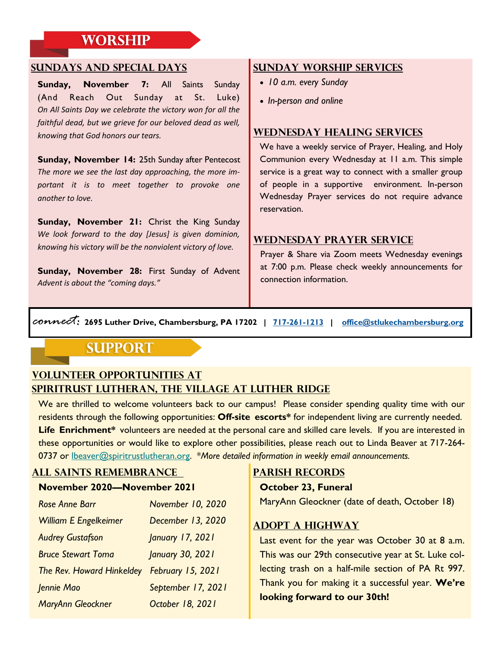# **WORSHIP**

#### **Sundays and Special Days**

**Sunday, November 7:** All Saints Sunday (And Reach Out Sunday at St. Luke) *On All Saints Day we celebrate the victory won for all the faithful dead, but we grieve for our beloved dead as well, knowing that God honors our tears.* 

**Sunday, November 14:** 25th Sunday after Pentecost *The more we see the last day approaching, the more important it is to meet together to provoke one another to love.* 

**Sunday, November 21:** Christ the King Sunday *We look forward to the day [Jesus] is given dominion, knowing his victory will be the nonviolent victory of love.* 

**Sunday, November 28:** First Sunday of Advent *Advent is about the "coming days."* 

#### **Sunday Worship Services**

- *10 a.m. every Sunday*
- *In-person and online*

#### **Wednesday Healing Services**

We have a weekly service of Prayer, Healing, and Holy Communion every Wednesday at 11 a.m. This simple service is a great way to connect with a smaller group of people in a supportive environment. In-person Wednesday Prayer services do not require advance reservation.

#### **Wednesday Prayer Service**

Prayer & Share via Zoom meets Wednesday evenings at 7:00 p.m. Please check weekly announcements for connection information.

*connect:* **2695 Luther Drive, Chambersburg, PA 17202 | [717-261-1213](tel:7172611213) | [office@stlukechambersburg.org](mailto:office@stlukechambersburg.org)**

## **SUPPORT**

#### **Volunteer Opportunities at SpiriTrust Lutheran, The Village at Luther Ridge**

We are thrilled to welcome volunteers back to our campus! Please consider spending quality time with our residents through the following opportunities: **Off-site escorts\*** for independent living are currently needed. Life Enrichment\* volunteers are needed at the personal care and skilled care levels. If you are interested in these opportunities or would like to explore other possibilities, please reach out to Linda Beaver at 717-264- 0737 or [lbeaver@spiritrustlutheran.org.](mailto:lbeaver@spiritrustlutheran.org) \**More detailed information in weekly email announcements.*

### **All Saints Remembrance**

#### **November 2020—November 2021**

| November 10, 2020  |
|--------------------|
| December 13, 2020  |
| January 17, 2021   |
| January 30, 2021   |
| February 15, 2021  |
| September 17, 2021 |
| October 18, 2021   |
|                    |

#### **Parish records**

#### **October 23, Funeral**

MaryAnn Gleockner (date of death, October 18)

#### **Adopt A Highway**

Last event for the year was October 30 at 8 a.m. This was our 29th consecutive year at St. Luke collecting trash on a half-mile section of PA Rt 997. Thank you for making it a successful year. **We're looking forward to our 30th!**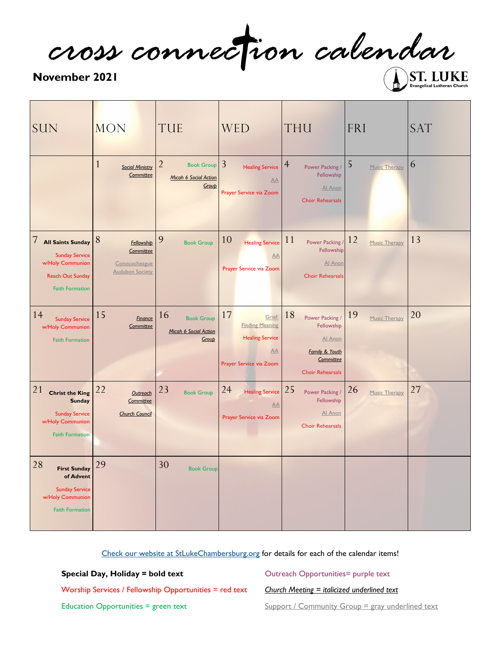*cross connec ion calendar*

#### **November 2021**

Evangelical Lutheran Church

| <b>SUN</b>                                                                                                                      | <b>MON</b>                                                              | TUE                                                                   | <b>WED</b>                                                                                        | <b>THU</b>                                                                                                          | FRI                 | <b>SAT</b> |
|---------------------------------------------------------------------------------------------------------------------------------|-------------------------------------------------------------------------|-----------------------------------------------------------------------|---------------------------------------------------------------------------------------------------|---------------------------------------------------------------------------------------------------------------------|---------------------|------------|
|                                                                                                                                 | $\mathbf{1}$<br><b>Social Ministry</b><br>Committee                     | $\overline{2}$<br><b>Book Group</b><br>Micah 6 Social Action<br>Group | $\overline{3}$<br><b>Healing Service</b><br>AA<br>Prayer Service via Zoom                         | $\overline{4}$<br>Power Packing /<br>Fellowship<br>Al Anon<br><b>Choir Rehearsals</b>                               | 5<br>Music Therapy  | 6          |
| 7<br><b>All Saints Sunday</b><br><b>Sunday Service</b><br>w/Holy Communion<br><b>Reach Out Sunday</b><br><b>Faith Formation</b> | 8<br>Fellowship<br>Committee<br>Conococheague<br><b>Audubon Society</b> | 9<br><b>Book Group</b>                                                | 10<br><b>Healing Service</b><br>AA<br>Prayer Service via Zoom                                     | 11<br>Power Packing /<br>Fellowship<br>Al Anon<br><b>Choir Rehearsals</b>                                           | 12<br>Music Therapy | 13         |
| 14<br><b>Sunday Service</b><br>w/Holy Communion<br><b>Faith Formation</b>                                                       | 15<br><b>Finance</b><br>Committee                                       | 16<br><b>Book Group</b><br>Micah 6 Social Action<br>Group             | 17<br>Grief:<br><b>Finding Meaning</b><br><b>Healing Service</b><br>AA<br>Prayer Service via Zoom | 18<br>Power Packing /<br>Fellowship<br>Al Anon<br><b>Family &amp; Youth</b><br>Committee<br><b>Choir Rehearsals</b> | 19<br>Music Therapy | 20         |
| 21<br><b>Christ the King</b><br><b>Sunday</b><br><b>Sunday Service</b><br>w/Holy Communion<br><b>Faith Formation</b>            | 22<br>Outreach<br>Committee<br><b>Church Council</b>                    | 23<br><b>Book Group</b>                                               | 24<br><b>Healing Service</b><br>AA<br>Prayer Service via Zoom                                     | 25<br>Power Packing /<br>Fellowship<br>Al Anon<br><b>Choir Rehearsals</b>                                           | 26<br>Music Therapy | 27         |
| 28<br><b>First Sunday</b><br>of Advent<br><b>Sunday Service</b><br>w/Holy Communion<br><b>Faith Formation</b>                   | 29                                                                      | 30<br><b>Book Group</b>                                               |                                                                                                   |                                                                                                                     |                     |            |

[Check our website at StLukeChambersburg.org](https://StLukeChambersburg.org) for details for each of the calendar items!

**Special Day, Holiday = bold text**

Outreach Opportunities= purple text

Worship Services / Fellowship Opportunities = red text

*Church Meeting = italicized underlined text* Support / Community Group = gray underlined text

Education Opportunities = green text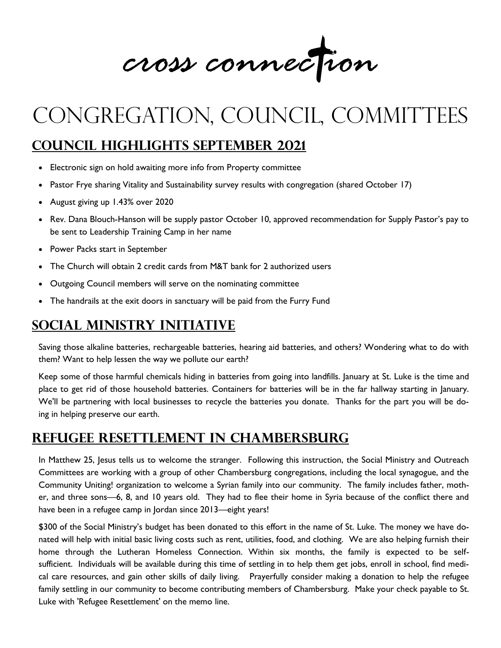**June / July 2021** *cross connec ion*

# congregation, council, committees

# **Council Highlights September 2021**

- Electronic sign on hold awaiting more info from Property committee
- Pastor Frye sharing Vitality and Sustainability survey results with congregation (shared October 17)
- August giving up 1.43% over 2020
- Rev. Dana Blouch-Hanson will be supply pastor October 10, approved recommendation for Supply Pastor's pay to be sent to Leadership Training Camp in her name
- Power Packs start in September
- The Church will obtain 2 credit cards from M&T bank for 2 authorized users
- Outgoing Council members will serve on the nominating committee
- The handrails at the exit doors in sanctuary will be paid from the Furry Fund

# **Social Ministry Initiative**

Saving those alkaline batteries, rechargeable batteries, hearing aid batteries, and others? Wondering what to do with them? Want to help lessen the way we pollute our earth?

Keep some of those harmful chemicals hiding in batteries from going into landfills. January at St. Luke is the time and place to get rid of those household batteries. Containers for batteries will be in the far hallway starting in January. We'll be partnering with local businesses to recycle the batteries you donate. Thanks for the part you will be doing in helping preserve our earth.

# **Refugee Resettlement in Chambersburg**

In Matthew 25, Jesus tells us to welcome the stranger. Following this instruction, the Social Ministry and Outreach Committees are working with a group of other Chambersburg congregations, including the local synagogue, and the Community Uniting! organization to welcome a Syrian family into our community. The family includes father, mother, and three sons—6, 8, and 10 years old. They had to flee their home in Syria because of the conflict there and have been in a refugee camp in Jordan since 2013—eight years!

\$300 of the Social Ministry's budget has been donated to this effort in the name of St. Luke. The money we have donated will help with initial basic living costs such as rent, utilities, food, and clothing. We are also helping furnish their home through the Lutheran Homeless Connection. Within six months, the family is expected to be selfsufficient. Individuals will be available during this time of settling in to help them get jobs, enroll in school, find medical care resources, and gain other skills of daily living. Prayerfully consider making a donation to help the refugee family settling in our community to become contributing members of Chambersburg. Make your check payable to St. Luke with 'Refugee Resettlement' on the memo line.